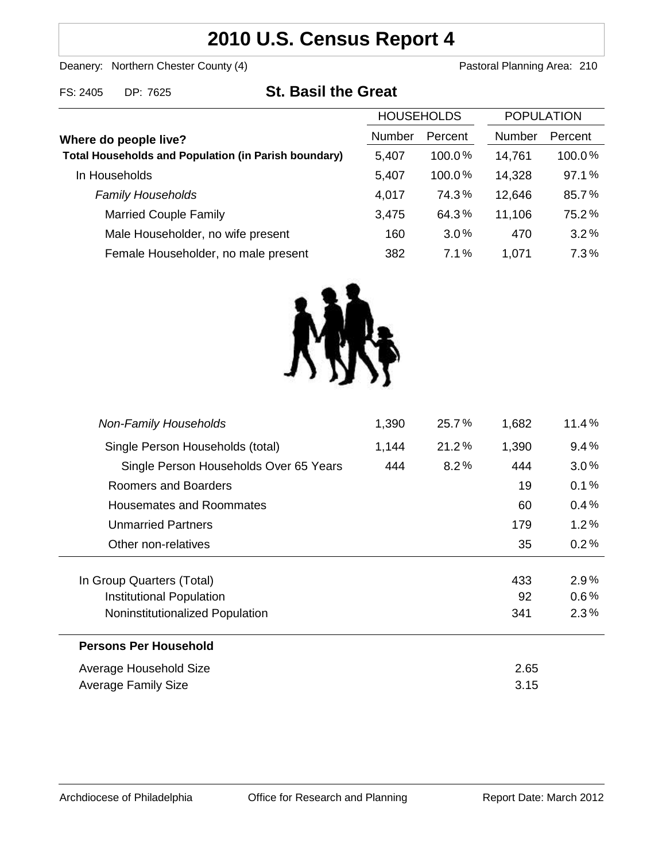## **2010 U.S. Census Report 4**

Deanery: Northern Chester County (4) Deanery: Northern Chester County (4)

FS: 2405 DP: 7625 **St. Basil the Great**

|                                                             | <b>HOUSEHOLDS</b> |           | <b>POPULATION</b> |         |
|-------------------------------------------------------------|-------------------|-----------|-------------------|---------|
| Where do people live?                                       | Number            | Percent   | <b>Number</b>     | Percent |
| <b>Total Households and Population (in Parish boundary)</b> | 5,407             | $100.0\%$ | 14,761            | 100.0%  |
| In Households                                               | 5,407             | $100.0\%$ | 14,328            | 97.1%   |
| <b>Family Households</b>                                    | 4,017             | 74.3%     | 12,646            | 85.7%   |
| <b>Married Couple Family</b>                                | 3,475             | 64.3%     | 11,106            | 75.2%   |
| Male Householder, no wife present                           | 160               | 3.0%      | 470               | 3.2%    |
| Female Householder, no male present                         | 382               | 7.1%      | 1,071             | 7.3%    |



| <b>Non-Family Households</b>           | 1,390 | 25.7% | 1,682 | 11.4%   |
|----------------------------------------|-------|-------|-------|---------|
| Single Person Households (total)       | 1,144 | 21.2% | 1,390 | 9.4%    |
| Single Person Households Over 65 Years | 444   | 8.2%  | 444   | 3.0%    |
| Roomers and Boarders                   |       |       | 19    | 0.1%    |
| Housemates and Roommates               |       |       | 60    | 0.4%    |
| <b>Unmarried Partners</b>              |       |       | 179   | 1.2%    |
| Other non-relatives                    |       |       | 35    | 0.2%    |
|                                        |       |       |       |         |
| In Group Quarters (Total)              |       |       | 433   | $2.9\%$ |
| <b>Institutional Population</b>        |       |       | 92    | $0.6\%$ |
| Noninstitutionalized Population        |       |       | 341   | 2.3%    |
| <b>Persons Per Household</b>           |       |       |       |         |
| Average Household Size                 |       |       | 2.65  |         |
| <b>Average Family Size</b>             |       |       | 3.15  |         |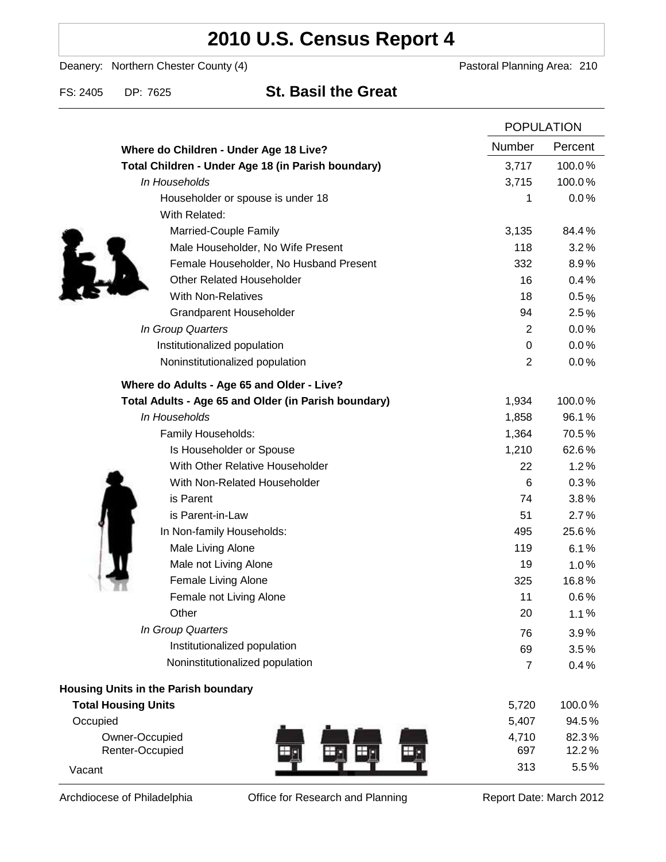# **2010 U.S. Census Report 4**

Deanery: Northern Chester County (4) Deanery: Northern Chester County (4)

### FS: 2405 DP: 7625 **St. Basil the Great**

|                                                      | <b>POPULATION</b> |         |
|------------------------------------------------------|-------------------|---------|
| Where do Children - Under Age 18 Live?               | Number            | Percent |
| Total Children - Under Age 18 (in Parish boundary)   | 3,717             | 100.0%  |
| In Households                                        | 3,715             | 100.0%  |
| Householder or spouse is under 18                    | 1                 | 0.0%    |
| With Related:                                        |                   |         |
| Married-Couple Family                                | 3,135             | 84.4%   |
| Male Householder, No Wife Present                    | 118               | 3.2%    |
| Female Householder, No Husband Present               | 332               | 8.9%    |
| <b>Other Related Householder</b>                     | 16                | 0.4%    |
| <b>With Non-Relatives</b>                            | 18                | 0.5%    |
| Grandparent Householder                              | 94                | 2.5%    |
| In Group Quarters                                    | $\overline{2}$    | 0.0%    |
| Institutionalized population                         | 0                 | 0.0%    |
| Noninstitutionalized population                      | 2                 | 0.0%    |
| Where do Adults - Age 65 and Older - Live?           |                   |         |
| Total Adults - Age 65 and Older (in Parish boundary) | 1,934             | 100.0%  |
| In Households                                        | 1,858             | 96.1%   |
| Family Households:                                   | 1,364             | 70.5%   |
| Is Householder or Spouse                             | 1,210             | 62.6%   |
| With Other Relative Householder                      | 22                | 1.2%    |
| With Non-Related Householder                         | 6                 | 0.3%    |
| is Parent                                            | 74                | 3.8%    |
| is Parent-in-Law                                     | 51                | 2.7%    |
| In Non-family Households:                            | 495               | 25.6%   |
| Male Living Alone                                    | 119               | 6.1%    |
| Male not Living Alone                                | 19                | $1.0\%$ |
| Female Living Alone                                  | 325               | 16.8%   |
| Female not Living Alone                              | 11                | 0.6%    |
| Other                                                | 20                | 1.1%    |
| In Group Quarters                                    | 76                | 3.9%    |
| Institutionalized population                         | 69                | 3.5%    |
| Noninstitutionalized population                      | $\overline{7}$    | 0.4%    |
| <b>Housing Units in the Parish boundary</b>          |                   |         |
| <b>Total Housing Units</b>                           | 5,720             | 100.0%  |
| Occupied                                             | 5,407             | 94.5%   |
| Owner-Occupied                                       | 4,710             | 82.3%   |
| Renter-Occupied                                      | 697               | 12.2%   |
| Vacant                                               | 313               | 5.5%    |

Archdiocese of Philadelphia **Office for Research and Planning** Report Date: March 2012